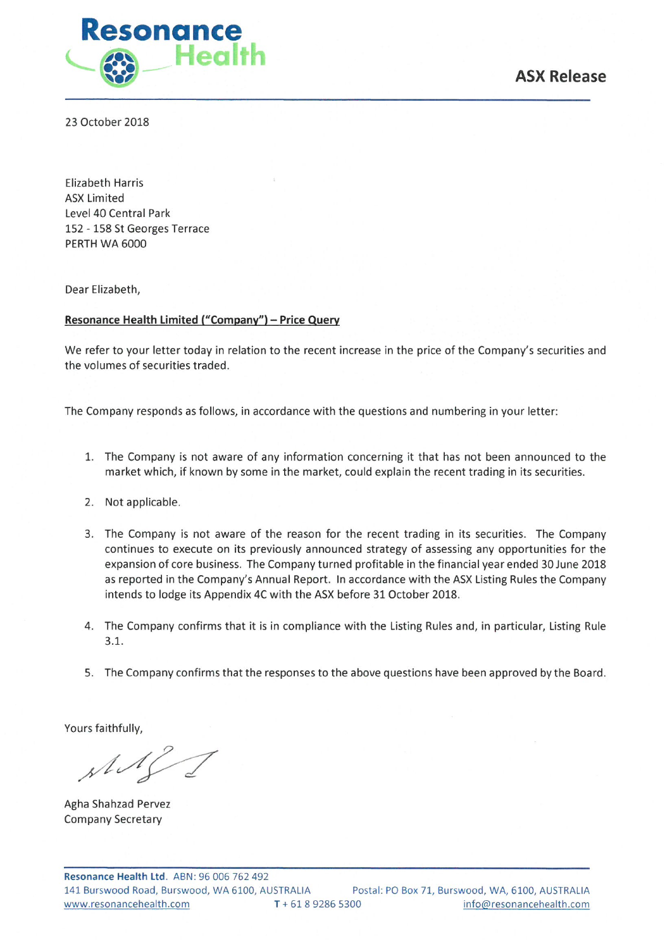

23 October 2018

**Elizabeth Harris ASX Limited** Level 40 Central Park 152 - 158 St Georges Terrace PERTH WA 6000

Dear Elizabeth,

# Resonance Health Limited ("Company") - Price Query

We refer to your letter today in relation to the recent increase in the price of the Company's securities and the volumes of securities traded.

The Company responds as follows, in accordance with the questions and numbering in your letter:

- 1. The Company is not aware of any information concerning it that has not been announced to the market which, if known by some in the market, could explain the recent trading in its securities.
- 2. Not applicable.
- 3. The Company is not aware of the reason for the recent trading in its securities. The Company continues to execute on its previously announced strategy of assessing any opportunities for the expansion of core business. The Company turned profitable in the financial year ended 30 June 2018 as reported in the Company's Annual Report. In accordance with the ASX Listing Rules the Company intends to lodge its Appendix 4C with the ASX before 31 October 2018.
- 4. The Company confirms that it is in compliance with the Listing Rules and, in particular, Listing Rule  $3.1.$
- 5. The Company confirms that the responses to the above questions have been approved by the Board.

Yours faithfully,

 $\mathcal{M}$ 

Agha Shahzad Pervez **Company Secretary**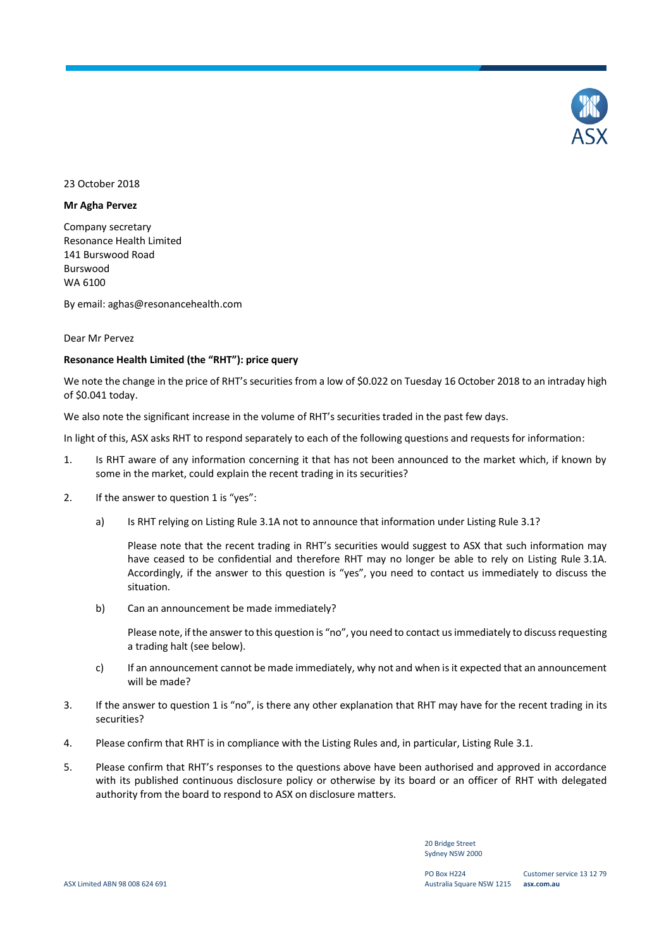

# 23 October 2018

### **Mr Agha Pervez**

Company secretary Resonance Health Limited 141 Burswood Road Burswood WA 6100

By email: aghas@resonancehealth.com

### Dear Mr Pervez

#### **Resonance Health Limited (the "RHT"): price query**

We note the change in the price of RHT's securities from a low of \$0.022 on Tuesday 16 October 2018 to an intraday high of \$0.041 today.

We also note the significant increase in the volume of RHT's securities traded in the past few days.

In light of this, ASX asks RHT to respond separately to each of the following questions and requests for information:

- 1. Is RHT aware of any information concerning it that has not been announced to the market which, if known by some in the market, could explain the recent trading in its securities?
- 2. If the answer to question 1 is "yes":
	- a) Is RHT relying on Listing Rule 3.1A not to announce that information under Listing Rule 3.1?

Please note that the recent trading in RHT's securities would suggest to ASX that such information may have ceased to be confidential and therefore RHT may no longer be able to rely on Listing Rule 3.1A. Accordingly, if the answer to this question is "yes", you need to contact us immediately to discuss the situation.

b) Can an announcement be made immediately?

Please note, if the answer to this question is "no", you need to contact us immediately to discuss requesting a trading halt (see below).

- c) If an announcement cannot be made immediately, why not and when is it expected that an announcement will be made?
- 3. If the answer to question 1 is "no", is there any other explanation that RHT may have for the recent trading in its securities?
- 4. Please confirm that RHT is in compliance with the Listing Rules and, in particular, Listing Rule 3.1.
- 5. Please confirm that RHT's responses to the questions above have been authorised and approved in accordance with its published continuous disclosure policy or otherwise by its board or an officer of RHT with delegated authority from the board to respond to ASX on disclosure matters.

20 Bridge Street Sydney NSW 2000

PO Box H224 Australia Square NSW 1215 **asx.com.au**

Customer service 13 12 79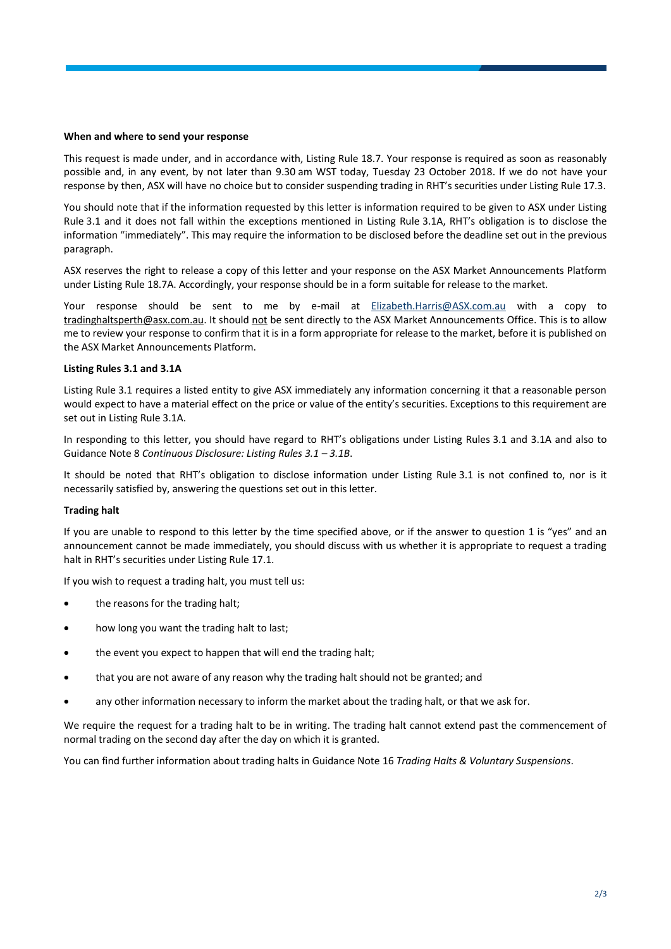### **When and where to send your response**

This request is made under, and in accordance with, Listing Rule 18.7. Your response is required as soon as reasonably possible and, in any event, by not later than 9.30 am WST today, Tuesday 23 October 2018. If we do not have your response by then, ASX will have no choice but to consider suspending trading in RHT's securities under Listing Rule 17.3.

You should note that if the information requested by this letter is information required to be given to ASX under Listing Rule 3.1 and it does not fall within the exceptions mentioned in Listing Rule 3.1A, RHT's obligation is to disclose the information "immediately". This may require the information to be disclosed before the deadline set out in the previous paragraph.

ASX reserves the right to release a copy of this letter and your response on the ASX Market Announcements Platform under Listing Rule 18.7A. Accordingly, your response should be in a form suitable for release to the market.

Your response should be sent to me by e-mail at [Elizabeth.Harris@ASX.com.au](mailto:Elizabeth.Harris@ASX.com.au) with a copy to tradinghaltsperth@asx.com.au. It should not be sent directly to the ASX Market Announcements Office. This is to allow me to review your response to confirm that it is in a form appropriate for release to the market, before it is published on the ASX Market Announcements Platform.

# **Listing Rules 3.1 and 3.1A**

Listing Rule 3.1 requires a listed entity to give ASX immediately any information concerning it that a reasonable person would expect to have a material effect on the price or value of the entity's securities. Exceptions to this requirement are set out in Listing Rule 3.1A.

In responding to this letter, you should have regard to RHT's obligations under Listing Rules 3.1 and 3.1A and also to Guidance Note 8 *Continuous Disclosure: Listing Rules 3.1 – 3.1B*.

It should be noted that RHT's obligation to disclose information under Listing Rule 3.1 is not confined to, nor is it necessarily satisfied by, answering the questions set out in this letter.

# **Trading halt**

If you are unable to respond to this letter by the time specified above, or if the answer to question 1 is "yes" and an announcement cannot be made immediately, you should discuss with us whether it is appropriate to request a trading halt in RHT's securities under Listing Rule 17.1.

If you wish to request a trading halt, you must tell us:

- the reasons for the trading halt;
- how long you want the trading halt to last;
- the event you expect to happen that will end the trading halt;
- that you are not aware of any reason why the trading halt should not be granted; and
- any other information necessary to inform the market about the trading halt, or that we ask for.

We require the request for a trading halt to be in writing. The trading halt cannot extend past the commencement of normal trading on the second day after the day on which it is granted.

You can find further information about trading halts in Guidance Note 16 *Trading Halts & Voluntary Suspensions*.